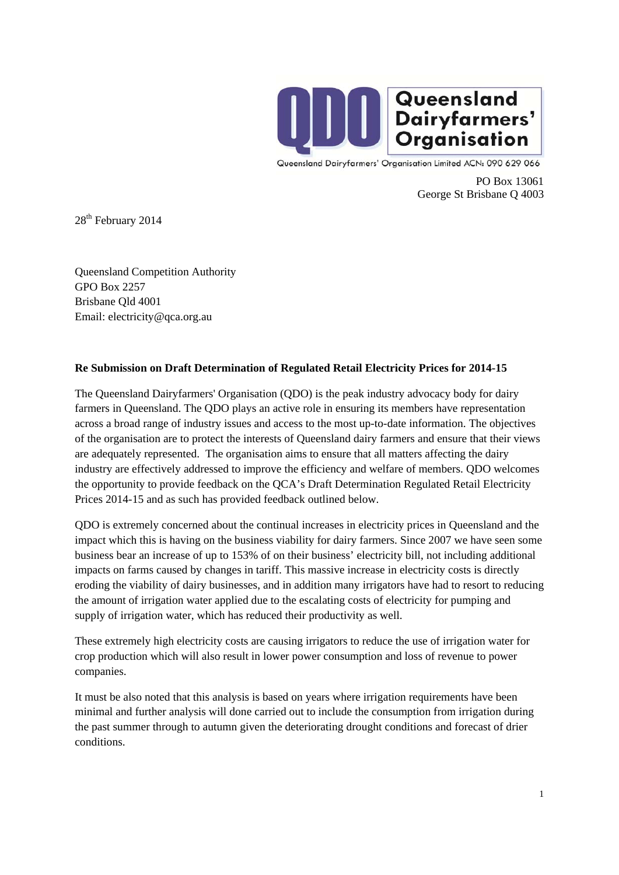

Queensland Dairyfarmers' Organisation Limited ACN: 090 629 066

PO Box 13061 George St Brisbane Q 4003

28<sup>th</sup> February 2014

Queensland Competition Authority GPO Box 2257 Brisbane Qld 4001 Email: electricity@qca.org.au

## **Re Submission on Draft Determination of Regulated Retail Electricity Prices for 2014-15**

The Queensland Dairyfarmers' Organisation (QDO) is the peak industry advocacy body for dairy farmers in Queensland. The QDO plays an active role in ensuring its members have representation across a broad range of industry issues and access to the most up-to-date information. The objectives of the organisation are to protect the interests of Queensland dairy farmers and ensure that their views are adequately represented. The organisation aims to ensure that all matters affecting the dairy industry are effectively addressed to improve the efficiency and welfare of members. QDO welcomes the opportunity to provide feedback on the QCA's Draft Determination Regulated Retail Electricity Prices 2014-15 and as such has provided feedback outlined below.

QDO is extremely concerned about the continual increases in electricity prices in Queensland and the impact which this is having on the business viability for dairy farmers. Since 2007 we have seen some business bear an increase of up to 153% of on their business' electricity bill, not including additional impacts on farms caused by changes in tariff. This massive increase in electricity costs is directly eroding the viability of dairy businesses, and in addition many irrigators have had to resort to reducing the amount of irrigation water applied due to the escalating costs of electricity for pumping and supply of irrigation water, which has reduced their productivity as well.

These extremely high electricity costs are causing irrigators to reduce the use of irrigation water for crop production which will also result in lower power consumption and loss of revenue to power companies.

It must be also noted that this analysis is based on years where irrigation requirements have been minimal and further analysis will done carried out to include the consumption from irrigation during the past summer through to autumn given the deteriorating drought conditions and forecast of drier conditions.